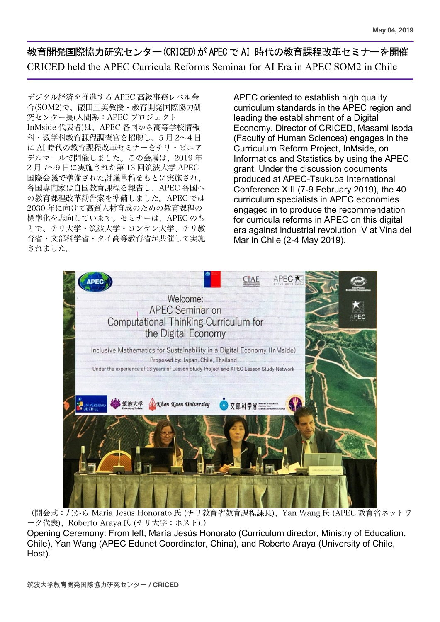教育開発国際協力研究センター(CRICED)が APECで AI 時代の教育課程改革セミナーを開催 CRICED held the APEC Curricula Reforms Seminar for AI Era in APEC SOM2 in Chile

デジタル経済を推進する APEC 高級事務レベル会 合(SOM2)で、礒田正美教授・教育開発国際協力研 究センター長(人間系:APEC プロジェクト InMside 代表者)は、APEC 各国から高等学校情報 科・数学科教育課程調査官を招聘し、5 月 2~4 日 に AI 時代の教育課程改革セミナーをチリ・ビニア デルマールで開催しました。この会議は、2019 年 2 月 7~9 日に実施された第 13 回筑波大学 APEC 国際会議で準備された討議草稿をもとに実施され、 各国専門家は自国教育課程を報告し、APEC 各国へ の教育課程改革勧告案を準備しました。APEC では 2030 年に向けて高質人材育成のための教育課程の 標準化を志向しています。セミナーは、APEC のも とで、チリ大学・筑波大学・コンケン大学、チリ教 育省・文部科学省・タイ高等教育省が共催して実施 されました。

APEC oriented to establish high quality curriculum standards in the APEC region and leading the establishment of a Digital Economy. Director of CRICED, Masami Isoda (Faculty of Human Sciences) engages in the Curriculum Reform Project, InMside, on Informatics and Statistics by using the APEC grant. Under the discussion documents produced at APEC-Tsukuba International Conference XIII (7-9 February 2019), the 40 curriculum specialists in APEC economies engaged in to produce the recommendation for curricula reforms in APEC on this digital era against industrial revolution IV at Vina del Mar in Chile (2-4 May 2019).



(開会式:左から María Jesús Honorato 氏 (チリ教育省教育課程課長)、Yan Wang 氏 (APEC 教育省ネットワ ーク代表)、Roberto Araya 氏 (チリ大学:ホスト).)

Opening Ceremony: From left, María Jesús Honorato (Curriculum director, Ministry of Education, Chile), Yan Wang (APEC Edunet Coordinator, China), and Roberto Araya (University of Chile, Host).